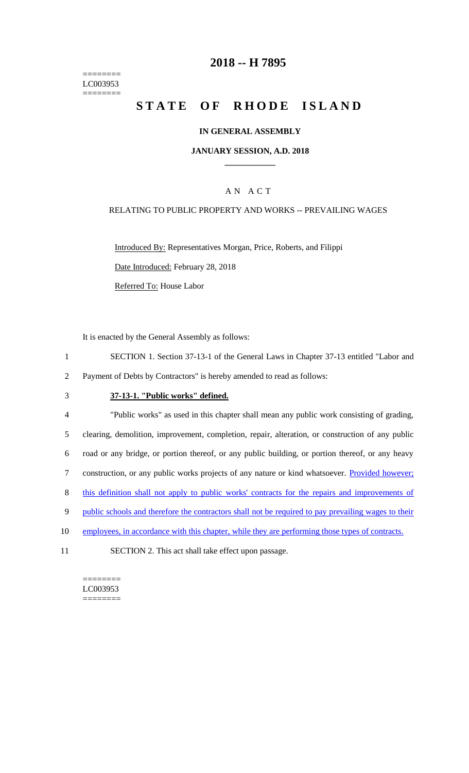======== LC003953 ========

## **2018 -- H 7895**

# STATE OF RHODE ISLAND

#### **IN GENERAL ASSEMBLY**

#### **JANUARY SESSION, A.D. 2018 \_\_\_\_\_\_\_\_\_\_\_\_**

### A N A C T

#### RELATING TO PUBLIC PROPERTY AND WORKS -- PREVAILING WAGES

Introduced By: Representatives Morgan, Price, Roberts, and Filippi

Date Introduced: February 28, 2018

Referred To: House Labor

It is enacted by the General Assembly as follows:

1 SECTION 1. Section 37-13-1 of the General Laws in Chapter 37-13 entitled "Labor and 2 Payment of Debts by Contractors" is hereby amended to read as follows:

#### 3 **37-13-1. "Public works" defined.**

 "Public works" as used in this chapter shall mean any public work consisting of grading, clearing, demolition, improvement, completion, repair, alteration, or construction of any public road or any bridge, or portion thereof, or any public building, or portion thereof, or any heavy 7 construction, or any public works projects of any nature or kind whatsoever. Provided however; this definition shall not apply to public works' contracts for the repairs and improvements of 9 public schools and therefore the contractors shall not be required to pay prevailing wages to their 10 employees, in accordance with this chapter, while they are performing those types of contracts. SECTION 2. This act shall take effect upon passage.

======== LC003953  $=$